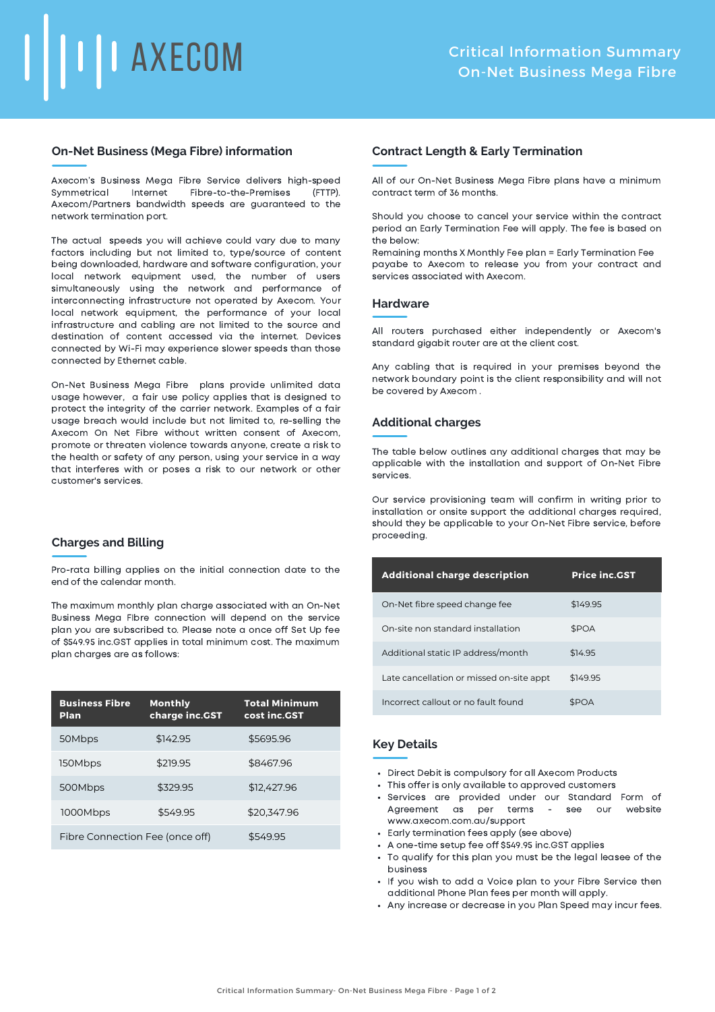# **TEAXECOM**

# **On-Net Business (Mega Fibre) information**

Axecom's Business Mega Fibre Service delivers high-speed Symmetrical Internet Fibre-to-the-Premises (FTTP). Axecom/Partners bandwidth speeds are guaranteed to the network termination port.

The actual speeds you will achieve could vary due to many factors including but not limited to, type/source of content being downloaded, hardware and software configuration, your local network equipment used, the number of users simultaneously using the network and performance of interconnecting infrastructure not operated by Axecom. Your local network equipment, the performance of your local infrastructure and cabling are not limited to the source and destination of content accessed via the internet. Devices connected by Wi-Fi may experience slower speeds than those connected by Ethernet cable.

On-Net Business Mega Fibre plans provide unlimited data usage however, a fair use policy applies that is designed to protect the integrity of the carrier network. Examples of a fair usage breach would include but not limited to, re-selling the Axecom On Net Fibre without written consent of Axecom, promote or threaten violence towards anyone, create a risk to the health or safety of any person, using your service in a way that interferes with or poses a risk to our network or other customer's services.

# **Charges and Billing**

Pro-rata billing applies on the initial connection date to the end of the calendar month.

The maximum monthly plan charge associated with an On-Net Business Mega FIbre connection will depend on the service plan you are subscribed to. Please note a once off Set Up fee of \$549.95 inc.GST applies in total minimum cost. The maximum plan charges are as follows:

| <b>Business Fibre</b><br><b>Plan</b> | <b>Monthly</b><br>charge inc.GST | <b>Total Minimum</b><br>cost inc.GST |
|--------------------------------------|----------------------------------|--------------------------------------|
| 50Mbps                               | \$142.95                         | \$5695.96                            |
| 150Mbps                              | \$219.95                         | \$8467.96                            |
| 500Mbps                              | \$329.95                         | \$12,427.96                          |
| 1000Mbps                             | \$549.95                         | \$20,347.96                          |
| Fibre Connection Fee (once off)      |                                  | \$549.95                             |

# **Contract Length & Early Termination**

All of our On-Net Business Mega Fibre plans have a minimum contract term of 36 months.

Should you choose to cancel your service within the contract period an Early Termination Fee will apply. The fee is based on the below:

Remaining months X Monthly Fee plan = Early Termination Fee payabe to Axecom to release you from your contract and services associated with Axecom.

### **Hardware**

All routers purchased either independently or Axecom's standard gigabit router are at the client cost.

Any cabling that is required in your premises beyond the network boundary point is the client responsibility and will not be covered by Axecom .

# **Additional charges**

The table below outlines any additional charges that may be applicable with the installation and support of On-Net Fibre services.

Our service provisioning team will confirm in writing prior to installation or onsite support the additional charges required, should they be applicable to your On-Net Fibre service, before proceeding.

| <b>Additional charge description</b>     | <b>Price inc.GST</b> |
|------------------------------------------|----------------------|
| On-Net fibre speed change fee            | \$149.95             |
| On-site non standard installation        | \$POA                |
| Additional static IP address/month       | \$14.95              |
| Late cancellation or missed on-site appt | \$149.95             |
| Incorrect callout or no fault found      | <b>SPOA</b>          |

# **Key Details**

- Direct Debit is compulsory for all Axecom Products
- This offer is only available to approved customers
- Services are provided under our Standard Form of Agreement as per terms - see our website www.axecom.com.au/support
- Early termination fees apply (see above)
- A one-time setup fee off \$549.95 inc.GST applies
- To qualify for this plan you must be the legal leasee of the business
- If you wish to add a Voice plan to your Fibre Service then additional Phone Plan fees per month will apply.
- Any increase or decrease in you Plan Speed may incur fees.